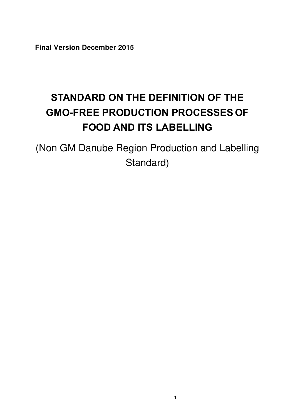**Final Version December 2015** 

# <span id="page-0-0"></span>**STANDARD ON THE DEFINITION OF THE GMO-FREE PRODUCTION PROCESSES OF FOOD AND ITS LABELLING**

(Non GM Danube Region Production and Labelling Standard)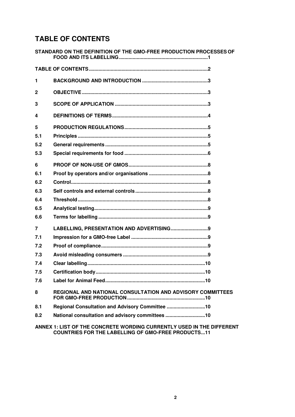# <span id="page-1-0"></span>**TABLE OF CONTENTS**

|              | STANDARD ON THE DEFINITION OF THE GMO-FREE PRODUCTION PROCESSES OF    |
|--------------|-----------------------------------------------------------------------|
|              |                                                                       |
| 1            |                                                                       |
| $\mathbf{2}$ |                                                                       |
| 3            |                                                                       |
| 4            |                                                                       |
| 5            |                                                                       |
| 5.1          |                                                                       |
| 5.2          |                                                                       |
| 5.3          |                                                                       |
| 6            |                                                                       |
| 6.1          |                                                                       |
| 6.2          |                                                                       |
| 6.3          |                                                                       |
| 6.4          |                                                                       |
| 6.5          |                                                                       |
| 6.6          |                                                                       |
| 7            | LABELLING, PRESENTATION AND ADVERTISING 9                             |
| 7.1          |                                                                       |
| 7.2          |                                                                       |
| 7.3          |                                                                       |
| 7.4          |                                                                       |
| 7.5          |                                                                       |
| 7.6          |                                                                       |
| 8            | REGIONAL AND NATIONAL CONSULTATION AND ADVISORY COMMITTEES            |
| 8.1          | Regional Consultation and Advisory Committee 10                       |
| 8.2          | National consultation and advisory committees 10                      |
|              | ANNEX 1: LIST OF THE CONCRETE WORDING CURRENTLY USED IN THE DIFFERENT |

**[COUNTRIES FOR THE LABELLING OF GMO-FREE PRODUCTS ...11](#page-10-0)**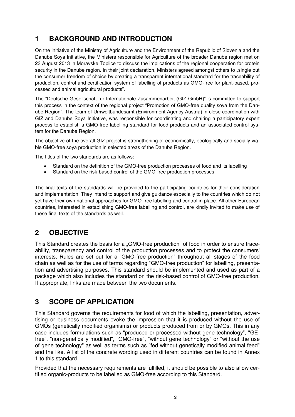# <span id="page-2-0"></span>**1 BACKGROUND AND INTRODUCTION**

On the initiative of the Ministry of Agriculture and the Environment of the Republic of Slovenia and the Danube Soya Initiative, the Ministers responsible for Agriculture of the broader Danube region met on 23 August 2013 in Moravske Toplice to discuss the implications of the regional cooperation for protein security in the Danube region. In their joint declaration, Ministers agreed amongst others to "single out the consumer freedom of choice by creating a transparent international standard for the traceability of production, control and certification system of labelling of products as GMO-free for plant-based, processed and animal agricultural products".

The "Deutsche Gesellschaft für Internationale Zusammenarbeit (GIZ GmbH)" is committed to support this process in the context of the regional project "Promotion of GMO-free quality soya from the Danube Region". The team of Umweltbundesamt (Environment Agency Austria) in close coordination with GIZ and Danube Soya Initiative, was responsible for coordinating and chairing a participatory expert process to establish a GMO-free labelling standard for food products and an associated control system for the Danube Region.

The objective of the overall GIZ project is strengthening of economically, ecologically and socially viable GMO-free soya production in selected areas of the Danube Region.

The titles of the two standards are as follows:

- Standard on the definition of the GMO-free production processes of food and its labelling
- Standard on the risk-based control of the GMO-free production processes

The final texts of the standards will be provided to the participating countries for their consideration and implementation. They intend to support and give guidance especially to the countries which do not yet have their own national approaches for GMO-free labelling and control in place. All other European countries, interested in establishing GMO-free labelling and control, are kindly invited to make use of these final texts of the standards as well.

## <span id="page-2-1"></span>**2 OBJECTIVE**

This Standard creates the basis for a "GMO-free production" of food in order to ensure traceability, transparency and control of the production processes and to protect the consumers' interests. Rules are set out for a "GMO-free production" throughout all stages of the food chain as well as for the use of terms regarding "GMO-free production" for labelling, presentation and advertising purposes. This standard should be implemented and used as part of a package which also includes the standard on the risk-based control of GMO-free production. If appropriate, links are made between the two documents.

### <span id="page-2-2"></span>**3 SCOPE OF APPLICATION**

This Standard governs the requirements for food of which the labelling, presentation, advertising or business documents evoke the impression that it is produced without the use of GMOs (genetically modified organisms) or products produced from or by GMOs. This in any case includes formulations such as "produced or processed without gene technology", "GEfree", "non-genetically modified", "GMO-free", "without gene technology" or "without the use of gene technology" as well as terms such as "fed without genetically modified animal feed" and the like. A list of the concrete wording used in different countries can be found in Annex 1 to this standard.

Provided that the necessary requirements are fulfilled, it should be possible to also allow certified organic-products to be labelled as GMO-free according to this Standard.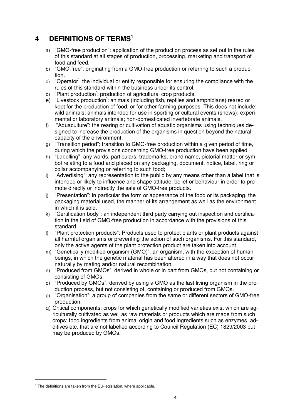# <span id="page-3-0"></span>**4 DEFINITIONS OF TERMS<sup>1</sup>**

- a) "GMO-free production": application of the production process as set out in the rules of this standard at all stages of production, processing, marketing and transport of food and feed.
- b) "GMO-free": originating from a GMO-free production or referring to such a production.
- c) "Operator<sup>"</sup>: the individual or entity responsible for ensuring the compliance with the rules of this standard within the business under its control.
- d) "Plant production : production of agricultural crop products.
- e) "Livestock production<sup>\*</sup>: animals (including fish, reptiles and amphibians) reared or kept for the production of food, or for other farming purposes. This does not include: wild animals; animals intended for use in sporting or cultural events (shows); experimental or laboratory animals; non-domesticated invertebrate animals.
- f) "Aquaculture": the rearing or cultivation of aquatic organisms using techniques designed to increase the production of the organisms in question beyond the natural capacity of the environment.
- g) "Transition period": transition to GMO-free production within a given period of time, during which the provisions concerning GMO-free production have been applied.
- h) "Labelling": any words, particulars, trademarks, brand name, pictorial matter or symbol relating to a food and placed on any packaging, document, notice, label, ring or collar accompanying or referring to such food;
- i) "Advertising": any representation to the public by any means other than a label that is intended or likely to influence and shape attitude, belief or behaviour in order to promote directly or indirectly the sale of GMO-free products.
- j) "Presentation": in particular the form or appearance of the food or its packaging, the packaging material used, the manner of its arrangement as well as the environment in which it is sold.
- k) "Certification body": an independent third party carrying out inspection and certification in the field of GMO-free production in accordance with the provisions of this standard.
- l) "Plant protection products": Products used to protect plants or plant products against all harmful organisms or preventing the action of such organisms. For this standard, only the active agents of the plant protection product are taken into account.
- m) "Genetically modified organism (GMO)": an organism, with the exception of human beings, in which the genetic material has been altered in a way that does not occur naturally by mating and/or natural recombination.
- n) "Produced from GMOs": derived in whole or in part from GMOs, but not containing or consisting of GMOs.
- o) "Produced by GMOs": derived by using a GMO as the last living organism in the production process, but not consisting of, containing or produced from GMOs.
- p) "Organisation": a group of companies from the same or different sectors of GMO-free production.
- q) Critical components: crops for which genetically modified varieties exist which are agriculturally cultivated as well as raw materials or products which are made from such crops; food ingredients from animal origin and food ingredients such as enzymes, additives etc. that are not labelled according to Council Regulation (EC) 1829/2003 but may be produced by GMOs.

-

<sup>&</sup>lt;sup>1</sup> The definitions are taken from the EU-legislation, where applicable.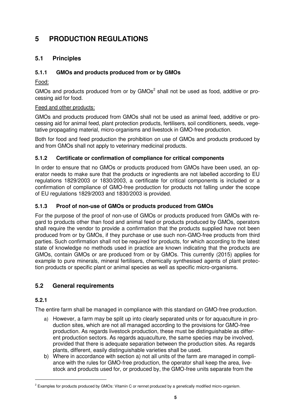# <span id="page-4-0"></span>**5 PRODUCTION REGULATIONS**

### <span id="page-4-1"></span>**5.1 Principles**

### **5.1.1 GMOs and products produced from or by GMOs**

Food:

GMOs and products produced from or by GMOs<sup>2</sup> shall not be used as food, additive or processing aid for food.

### Feed and other products:

GMOs and products produced from GMOs shall not be used as animal feed, additive or processing aid for animal feed, plant protection products, fertilisers, soil conditioners, seeds, vegetative propagating material, micro-organisms and livestock in GMO-free production.

Both for food and feed production the prohibition on use of GMOs and products produced by and from GMOs shall not apply to veterinary medicinal products.

### **5.1.2 Certificate or confirmation of compliance for critical components**

In order to ensure that no GMOs or products produced from GMOs have been used, an operator needs to make sure that the products or ingredients are not labelled according to EU regulations 1829/2003 or 1830/2003, a certificate for critical components is included or a confirmation of compliance of GMO-free production for products not falling under the scope of EU regulations 1829/2003 and 1830/2003 is provided.

### **5.1.3 Proof of non-use of GMOs or products produced from GMOs**

For the purpose of the proof of non-use of GMOs or products produced from GMOs with regard to products other than food and animal feed or products produced by GMOs, operators shall require the vendor to provide a confirmation that the products supplied have not been produced from or by GMOs, if they purchase or use such non-GMO-free products from third parties. Such confirmation shall not be required for products, for which according to the latest state of knowledge no methods used in practice are known indicating that the products are GMOs, contain GMOs or are produced from or by GMOs. This currently (2015) applies for example to pure minerals, mineral fertilisers, chemically synthesised agents of plant protection products or specific plant or animal species as well as specific micro-organisms.

### <span id="page-4-2"></span>**5.2 General requirements**

### **5.2.1**

-

The entire farm shall be managed in compliance with this standard on GMO-free production.

- a) However, a farm may be split up into clearly separated units or for aquaculture in production sites, which are not all managed according to the provisions for GMO-free production. As regards livestock production, these must be distinguishable as different production sectors. As regards aquaculture, the same species may be involved, provided that there is adequate separation between the production sites. As regards plants, different, easily distinguishable varieties shall be used.
- b) Where in accordance with section a) not all units of the farm are managed in compliance with the rules for GMO-free production, the operator shall keep the area, livestock and products used for, or produced by, the GMO-free units separate from the

<sup>&</sup>lt;sup>2</sup> Examples for products produced by GMOs: Vitamin C or rennet produced by a genetically modified micro-organism.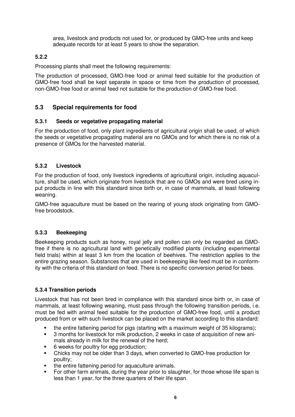area, livestock and products not used for, or produced by GMO-free units and keep adequate records for at least 5 years to show the separation.

### **5.2.2**

Processing plants shall meet the following requirements:

The production of processed, GMO-free food or animal feed suitable for the production of GMO-free food shall be kept separate in space or time from the production of processed, non-GMO-free food or animal feed not suitable for the production of GMO-free food.

### <span id="page-5-0"></span>**5.3 Special requirements for food**

#### **5.3.1 Seeds or vegetative propagating material**

For the production of food, only plant ingredients of agricultural origin shall be used, of which the seeds or vegetative propagating material are no GMOs and for which there is no risk of a presence of GMOs for the harvested material.

#### **5.3.2 Livestock**

For the production of food, only livestock ingredients of agricultural origin, including aquaculture, shall be used, which originate from livestock that are no GMOs and were bred using input products in line with this standard since birth or, in case of mammals, at least following weaning.

GMO-free aquaculture must be based on the rearing of young stock originating from GMOfree broodstock.

#### **5.3.3 Beekeeping**

Beekeeping products such as honey, royal jelly and pollen can only be regarded as GMOfree if there is no agricultural land with genetically modified plants (including experimental field trials) within at least 3 km from the location of beehives. The restriction applies to the entire grazing season. Substances that are used in beekeeping like feed must be in conformity with the criteria of this standard on feed. There is no specific conversion period for bees.

#### **5.3.4 Transition periods**

Livestock that has not been bred in compliance with this standard since birth or, in case of mammals, at least following weaning, must pass through the following transition periods, i.e. must be fed with animal feed suitable for the production of GMO-free food, until a product produced from or with such livestock can be placed on the market according to this standard:

- the entire fattening period for pigs (starting with a maximum weight of 35 kilograms);<br>3 months for livestock for milk production 2 weeks in case of acquisition of new ani-
- 3 months for livestock for milk production, 2 weeks in case of acquisition of new animals already in milk for the renewal of the herd;
- 6 weeks for poultry for egg production;<br>■ Chicks may not be older than 3 days, w
- Chicks may not be older than 3 days, when converted to GMO-free production for poultry;
- the entire fattening period for aquaculture animals.
- For other farm animals, during the year prior to slaughter, for those whose life span is less than 1 year, for the three quarters of their life span.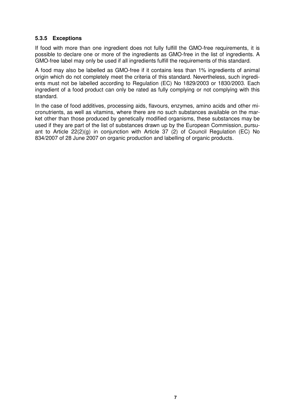#### **5.3.5 Exceptions**

If food with more than one ingredient does not fully fulfill the GMO-free requirements, it is possible to declare one or more of the ingredients as GMO-free in the list of ingredients. A GMO-free label may only be used if all ingredients fulfill the requirements of this standard.

A food may also be labelled as GMO-free if it contains less than 1% ingredients of animal origin which do not completely meet the criteria of this standard. Nevertheless, such ingredients must not be labelled according to Regulation (EC) No 1829/2003 or 1830/2003. Each ingredient of a food product can only be rated as fully complying or not complying with this standard.

In the case of food additives, processing aids, flavours, enzymes, amino acids and other micronutrients, as well as vitamins, where there are no such substances available on the market other than those produced by genetically modified organisms, these substances may be used if they are part of the list of substances drawn up by the European Commission, pursuant to Article 22(2)(g) in conjunction with Article 37 (2) of Council Regulation (EC) No 834/2007 of 28 June 2007 on organic production and labelling of organic products.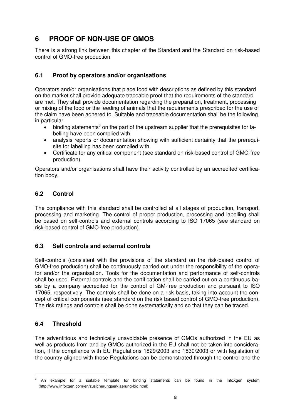# <span id="page-7-0"></span>**6 PROOF OF NON-USE OF GMOS**

There is a strong link between this chapter of the Standard and the Standard on risk-based control of GMO-free production.

### <span id="page-7-1"></span>**6.1 Proof by operators and/or organisations**

Operators and/or organisations that place food with descriptions as defined by this standard on the market shall provide adequate traceable proof that the requirements of the standard are met. They shall provide documentation regarding the preparation, treatment, processing or mixing of the food or the feeding of animals that the requirements prescribed for the use of the claim have been adhered to. Suitable and traceable documentation shall be the following, in particular

- $\bullet$  binding statements<sup>3</sup> on the part of the upstream supplier that the prerequisites for labelling have been complied with,
- analysis reports or documentation showing with sufficient certainty that the prerequisite for labelling has been complied with.
- Certificate for any critical component (see standard on risk-based control of GMO-free production).

Operators and/or organisations shall have their activity controlled by an accredited certification body.

### <span id="page-7-2"></span>**6.2 Control**

The compliance with this standard shall be controlled at all stages of production, transport, processing and marketing. The control of proper production, processing and labelling shall be based on self-controls and external controls according to ISO 17065 (see standard on risk-based control of GMO-free production).

### <span id="page-7-3"></span>**6.3 Self controls and external controls**

Self-controls (consistent with the provisions of the standard on the risk-based control of GMO-free production) shall be continuously carried out under the responsibility of the operator and/or the organisation. Tools for the documentation and performance of self-controls shall be used. External controls and the certification shall be carried out on a continuous basis by a company accredited for the control of GM-free production and pursuant to ISO 17065, respectively. The controls shall be done on a risk basis, taking into account the concept of critical components (see standard on the risk based control of GMO-free production). The risk ratings and controls shall be done systematically and so that they can be traced.

### <span id="page-7-4"></span>**6.4 Threshold**

-

The adventitious and technically unavoidable presence of GMOs authorized in the EU as well as products from and by GMOs authorized in the EU shall not be taken into consideration, if the compliance with EU Regulations 1829/2003 and 1830/2003 or with legislation of the country aligned with those Regulations can be demonstrated through the control and the

 $3$  An example for a suitable template for binding statements can be found in the InfoXgen system (http://www.infoxgen.com/en/zusicherungserklaerung-bio.html)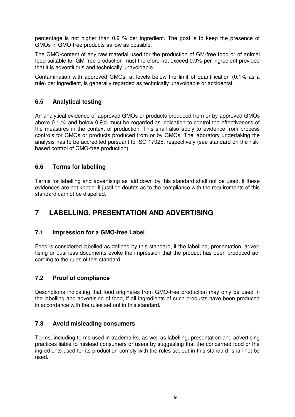percentage is not higher than 0,9 % per ingredient. The goal is to keep the presence of GMOs in GMO-free products as low as possible.

The GMO-content of any raw material used for the production of GM-free food or of animal feed suitable for GM-free production must therefore not exceed 0.9% per ingredient provided that it is adventitious and technically unavoidable.

Contamination with approved GMOs, at levels below the limit of quantification (0.1% as a rule) per ingredient, is generally regarded as technically unavoidable or accidental.

### <span id="page-8-0"></span>**6.5 Analytical testing**

An analytical evidence of approved GMOs or products produced from or by approved GMOs above 0.1 % and below 0.9% must be regarded as indication to control the effectiveness of the measures in the context of production. This shall also apply to evidence from process controls for GMOs or products produced from or by GMOs. The laboratory undertaking the analysis has to be accredited pursuant to ISO 17025, respectively (see standard on the riskbased control of GMO-free production).

#### <span id="page-8-1"></span>**6.6 Terms for labelling**

Terms for labelling and advertising as laid down by this standard shall not be used, if these evidences are not kept or if justified doubts as to the compliance with the requirements of this standard cannot be dispelled.

## <span id="page-8-2"></span>**7 LABELLING, PRESENTATION AND ADVERTISING**

### <span id="page-8-3"></span>**7.1 Impression for a GMO-free Label**

Food is considered labelled as defined by this standard, if the labelling, presentation, advertising or business documents evoke the impression that the product has been produced according to the rules of this standard.

### <span id="page-8-4"></span>**7.2 Proof of compliance**

Descriptions indicating that food originates from GMO-free production may only be used in the labelling and advertising of food, if all ingredients of such products have been produced in accordance with the rules set out in this standard.

### <span id="page-8-5"></span>**7.3 Avoid misleading consumers**

Terms, including terms used in trademarks, as well as labelling, presentation and advertising practices liable to mislead consumers or users by suggesting that the concerned food or the ingredients used for its production comply with the rules set out in this standard, shall not be used.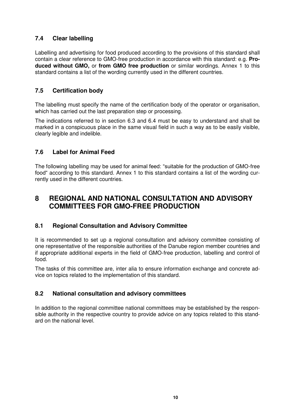### <span id="page-9-0"></span>**7.4 Clear labelling**

Labelling and advertising for food produced according to the provisions of this standard shall contain a clear reference to GMO-free production in accordance with this standard: e.g. **Produced without GMO,** or **from GMO free production** or similar wordings. Annex 1 to this standard contains a list of the wording currently used in the different countries.

### <span id="page-9-1"></span>**7.5 Certification body**

The labelling must specify the name of the certification body of the operator or organisation, which has carried out the last preparation step or processing.

The indications referred to in section 6.3 and 6.4 must be easy to understand and shall be marked in a conspicuous place in the same visual field in such a way as to be easily visible, clearly legible and indelible.

### <span id="page-9-2"></span>**7.6 Label for Animal Feed**

The following labelling may be used for animal feed: "suitable for the production of GMO-free food" according to this standard. Annex 1 to this standard contains a list of the wording currently used in the different countries.

### <span id="page-9-3"></span>**8 REGIONAL AND NATIONAL CONSULTATION AND ADVISORY COMMITTEES FOR GMO-FREE PRODUCTION**

### <span id="page-9-4"></span>**8.1 Regional Consultation and Advisory Committee**

It is recommended to set up a regional consultation and advisory committee consisting of one representative of the responsible authorities of the Danube region member countries and if appropriate additional experts in the field of GMO-free production, labelling and control of food.

The tasks of this committee are, inter alia to ensure information exchange and concrete advice on topics related to the implementation of this standard.

### <span id="page-9-5"></span>**8.2 National consultation and advisory committees**

In addition to the regional committee national committees may be established by the responsible authority in the respective country to provide advice on any topics related to this standard on the national level.